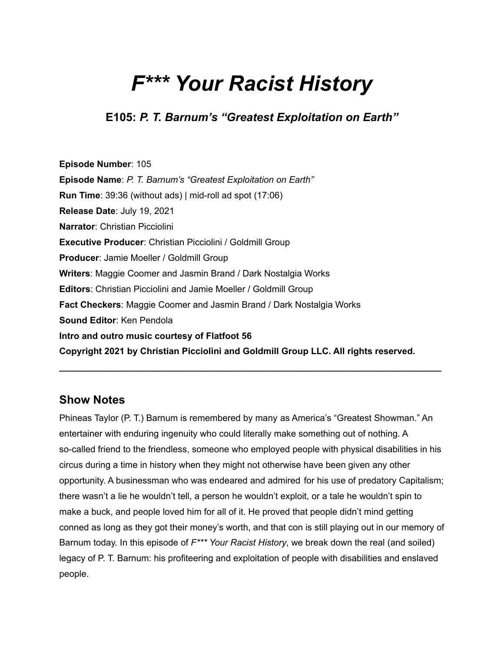# *F\*\*\* Your Racist History*

**E105:** *P. T. Barnum's "Greatest Exploitation on Earth"*

**Episode Number**: 105 **Episode Name**: *P. T. Barnum's "Greatest Exploitation on Earth"* **Run Time**: 39:36 (without ads) | mid-roll ad spot (17:06) **Release Date**: July 19, 2021 **Narrator**: Christian Picciolini **Executive Producer**: Christian Picciolini / Goldmill Group **Producer**: Jamie Moeller / Goldmill Group **Writers**: Maggie Coomer and Jasmin Brand / Dark Nostalgia Works **Editors**: Christian Picciolini and Jamie Moeller / Goldmill Group **Fact Checkers**: Maggie Coomer and Jasmin Brand / Dark Nostalgia Works **Sound Editor**: Ken Pendola **Intro and outro music courtesy of Flatfoot 56 Copyright 2021 by Christian Picciolini and Goldmill Group LLC. All rights reserved.**

## **Show Notes**

Phineas Taylor (P. T.) Barnum is remembered by many as America's "Greatest Showman." An entertainer with enduring ingenuity who could literally make something out of nothing. A so-called friend to the friendless, someone who employed people with physical disabilities in his circus during a time in history when they might not otherwise have been given any other opportunity. A businessman who was endeared and admired for his use of predatory Capitalism; there wasn't a lie he wouldn't tell, a person he wouldn't exploit, or a tale he wouldn't spin to make a buck, and people loved him for all of it. He proved that people didn't mind getting conned as long as they got their money's worth, and that con is still playing out in our memory of Barnum today. In this episode of *F\*\*\* Your Racist History*, we break down the real (and soiled) legacy of P. T. Barnum: his profiteering and exploitation of people with disabilities and enslaved people.

**\_\_\_\_\_\_\_\_\_\_\_\_\_\_\_\_\_\_\_\_\_\_\_\_\_\_\_\_\_\_\_\_\_\_\_\_\_\_\_\_\_\_\_\_\_\_\_\_\_\_\_\_\_\_\_\_\_\_\_\_\_\_\_\_\_\_\_\_\_\_\_\_\_\_\_\_**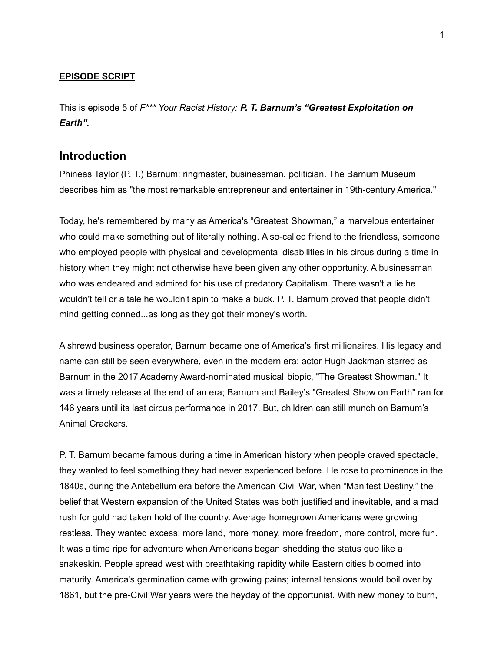#### **EPISODE SCRIPT**

This is episode 5 of *F\*\*\* Your Racist History: P. T. Barnum's "Greatest Exploitation on Earth".*

#### **Introduction**

Phineas Taylor (P. T.) Barnum: ringmaster, businessman, politician. The Barnum Museum describes him as "the most remarkable entrepreneur and entertainer in 19th-century America."

Today, he's remembered by many as America's "Greatest Showman," a marvelous entertainer who could make something out of literally nothing. A so-called friend to the friendless, someone who employed people with physical and developmental disabilities in his circus during a time in history when they might not otherwise have been given any other opportunity. A businessman who was endeared and admired for his use of predatory Capitalism. There wasn't a lie he wouldn't tell or a tale he wouldn't spin to make a buck. P. T. Barnum proved that people didn't mind getting conned...as long as they got their money's worth.

A shrewd business operator, Barnum became one of America's first millionaires. His legacy and name can still be seen everywhere, even in the modern era: actor Hugh Jackman starred as Barnum in the 2017 Academy Award-nominated musical biopic, "The Greatest Showman." It was a timely release at the end of an era; Barnum and Bailey's "Greatest Show on Earth" ran for 146 years until its last circus performance in 2017. But, children can still munch on Barnum's Animal Crackers.

P. T. Barnum became famous during a time in American history when people craved spectacle, they wanted to feel something they had never experienced before. He rose to prominence in the 1840s, during the Antebellum era before the American Civil War, when "Manifest Destiny," the belief that Western expansion of the United States was both justified and inevitable, and a mad rush for gold had taken hold of the country. Average homegrown Americans were growing restless. They wanted excess: more land, more money, more freedom, more control, more fun. It was a time ripe for adventure when Americans began shedding the status quo like a snakeskin. People spread west with breathtaking rapidity while Eastern cities bloomed into maturity. America's germination came with growing pains; internal tensions would boil over by 1861, but the pre-Civil War years were the heyday of the opportunist. With new money to burn,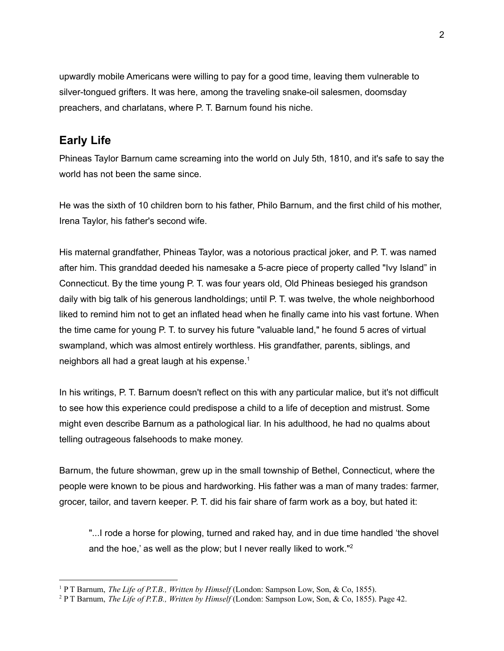upwardly mobile Americans were willing to pay for a good time, leaving them vulnerable to silver-tongued grifters. It was here, among the traveling snake-oil salesmen, doomsday preachers, and charlatans, where P. T. Barnum found his niche.

## **Early Life**

Phineas Taylor Barnum came screaming into the world on July 5th, 1810, and it's safe to say the world has not been the same since.

He was the sixth of 10 children born to his father, Philo Barnum, and the first child of his mother, Irena Taylor, his father's second wife.

His maternal grandfather, Phineas Taylor, was a notorious practical joker, and P. T. was named after him. This granddad deeded his namesake a 5-acre piece of property called "Ivy Island" in Connecticut. By the time young P. T. was four years old, Old Phineas besieged his grandson daily with big talk of his generous landholdings; until P. T. was twelve, the whole neighborhood liked to remind him not to get an inflated head when he finally came into his vast fortune. When the time came for young P. T. to survey his future "valuable land," he found 5 acres of virtual swampland, which was almost entirely worthless. His grandfather, parents, siblings, and neighbors all had a great laugh at his expense. $^1$ 

In his writings, P. T. Barnum doesn't reflect on this with any particular malice, but it's not difficult to see how this experience could predispose a child to a life of deception and mistrust. Some might even describe Barnum as a pathological liar. In his adulthood, he had no qualms about telling outrageous falsehoods to make money.

Barnum, the future showman, grew up in the small township of Bethel, Connecticut, where the people were known to be pious and hardworking. His father was a man of many trades: farmer, grocer, tailor, and tavern keeper. P. T. did his fair share of farm work as a boy, but hated it:

"...I rode a horse for plowing, turned and raked hay, and in due time handled 'the shovel and the hoe,' as well as the plow; but I never really liked to work."<sup>2</sup>

<sup>1</sup> P T Barnum, *The Life of P.T.B., Written by Himself* (London: Sampson Low, Son, & Co, 1855).

<sup>2</sup> P T Barnum, *The Life of P.T.B., Written by Himself* (London: Sampson Low, Son, & Co, 1855). Page 42.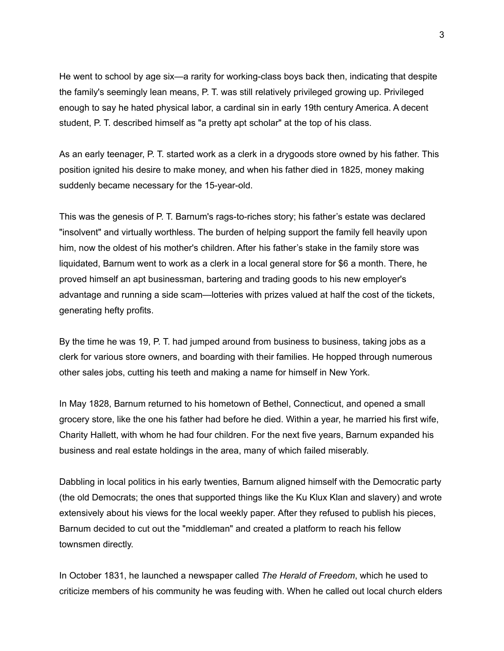He went to school by age six—a rarity for working-class boys back then, indicating that despite the family's seemingly lean means, P. T. was still relatively privileged growing up. Privileged enough to say he hated physical labor, a cardinal sin in early 19th century America. A decent student, P. T. described himself as "a pretty apt scholar" at the top of his class.

As an early teenager, P. T. started work as a clerk in a drygoods store owned by his father. This position ignited his desire to make money, and when his father died in 1825, money making suddenly became necessary for the 15-year-old.

This was the genesis of P. T. Barnum's rags-to-riches story; his father's estate was declared "insolvent" and virtually worthless. The burden of helping support the family fell heavily upon him, now the oldest of his mother's children. After his father's stake in the family store was liquidated, Barnum went to work as a clerk in a local general store for \$6 a month. There, he proved himself an apt businessman, bartering and trading goods to his new employer's advantage and running a side scam—lotteries with prizes valued at half the cost of the tickets, generating hefty profits.

By the time he was 19, P. T. had jumped around from business to business, taking jobs as a clerk for various store owners, and boarding with their families. He hopped through numerous other sales jobs, cutting his teeth and making a name for himself in New York.

In May 1828, Barnum returned to his hometown of Bethel, Connecticut, and opened a small grocery store, like the one his father had before he died. Within a year, he married his first wife, Charity Hallett, with whom he had four children. For the next five years, Barnum expanded his business and real estate holdings in the area, many of which failed miserably.

Dabbling in local politics in his early twenties, Barnum aligned himself with the Democratic party (the old Democrats; the ones that supported things like the Ku Klux Klan and slavery) and wrote extensively about his views for the local weekly paper. After they refused to publish his pieces, Barnum decided to cut out the "middleman" and created a platform to reach his fellow townsmen directly.

In October 1831, he launched a newspaper called *The Herald of Freedom*, which he used to criticize members of his community he was feuding with. When he called out local church elders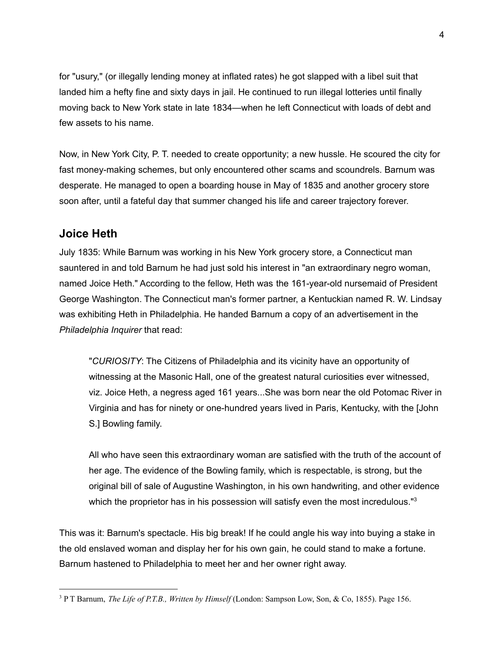for "usury," (or illegally lending money at inflated rates) he got slapped with a libel suit that landed him a hefty fine and sixty days in jail. He continued to run illegal lotteries until finally moving back to New York state in late 1834—when he left Connecticut with loads of debt and few assets to his name.

Now, in New York City, P. T. needed to create opportunity; a new hussle. He scoured the city for fast money-making schemes, but only encountered other scams and scoundrels. Barnum was desperate. He managed to open a boarding house in May of 1835 and another grocery store soon after, until a fateful day that summer changed his life and career trajectory forever.

#### **Joice Heth**

July 1835: While Barnum was working in his New York grocery store, a Connecticut man sauntered in and told Barnum he had just sold his interest in "an extraordinary negro woman, named Joice Heth." According to the fellow, Heth was the 161-year-old nursemaid of President George Washington. The Connecticut man's former partner, a Kentuckian named R. W. Lindsay was exhibiting Heth in Philadelphia. He handed Barnum a copy of an advertisement in the *Philadelphia Inquirer* that read:

"*CURIOSITY*: The Citizens of Philadelphia and its vicinity have an opportunity of witnessing at the Masonic Hall, one of the greatest natural curiosities ever witnessed, viz. Joice Heth, a negress aged 161 years...She was born near the old Potomac River in Virginia and has for ninety or one-hundred years lived in Paris, Kentucky, with the [John S.] Bowling family.

All who have seen this extraordinary woman are satisfied with the truth of the account of her age. The evidence of the Bowling family, which is respectable, is strong, but the original bill of sale of Augustine Washington, in his own handwriting, and other evidence which the proprietor has in his possession will satisfy even the most incredulous."<sup>3</sup>

This was it: Barnum's spectacle. His big break! If he could angle his way into buying a stake in the old enslaved woman and display her for his own gain, he could stand to make a fortune. Barnum hastened to Philadelphia to meet her and her owner right away.

<sup>3</sup> P T Barnum, *The Life of P.T.B., Written by Himself* (London: Sampson Low, Son, & Co, 1855). Page 156.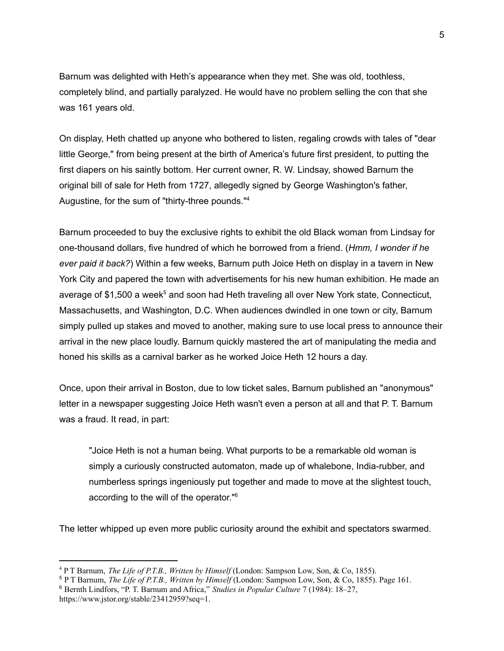Barnum was delighted with Heth's appearance when they met. She was old, toothless, completely blind, and partially paralyzed. He would have no problem selling the con that she was 161 years old.

On display, Heth chatted up anyone who bothered to listen, regaling crowds with tales of "dear little George," from being present at the birth of America's future first president, to putting the first diapers on his saintly bottom. Her current owner, R. W. Lindsay, showed Barnum the original bill of sale for Heth from 1727, allegedly signed by George Washington's father, Augustine, for the sum of "thirty-three pounds."<sup>4</sup>

Barnum proceeded to buy the exclusive rights to exhibit the old Black woman from Lindsay for one-thousand dollars, five hundred of which he borrowed from a friend. (*Hmm, I wonder if he ever paid it back?*) Within a few weeks, Barnum puth Joice Heth on display in a tavern in New York City and papered the town with advertisements for his new human exhibition. He made an average of \$1,500 a week<sup>5</sup> and soon had Heth traveling all over New York state, Connecticut, Massachusetts, and Washington, D.C. When audiences dwindled in one town or city, Barnum simply pulled up stakes and moved to another, making sure to use local press to announce their arrival in the new place loudly. Barnum quickly mastered the art of manipulating the media and honed his skills as a carnival barker as he worked Joice Heth 12 hours a day.

Once, upon their arrival in Boston, due to low ticket sales, Barnum published an "anonymous" letter in a newspaper suggesting Joice Heth wasn't even a person at all and that P. T. Barnum was a fraud. It read, in part:

"Joice Heth is not a human being. What purports to be a remarkable old woman is simply a curiously constructed automaton, made up of whalebone, India-rubber, and numberless springs ingeniously put together and made to move at the slightest touch, according to the will of the operator." 6

The letter whipped up even more public curiosity around the exhibit and spectators swarmed.

<sup>4</sup> P T Barnum, *The Life of P.T.B., Written by Himself* (London: Sampson Low, Son, & Co, 1855).

<sup>5</sup> P T Barnum, *The Life of P.T.B., Written by Himself* (London: Sampson Low, Son, & Co, 1855). Page 161.

<sup>6</sup> Bernth Lindfors, "P. T. Barnum and Africa," *Studies in Popular Culture* 7 (1984): 18–27, <https://www.jstor.org/stable/23412959?seq=1>.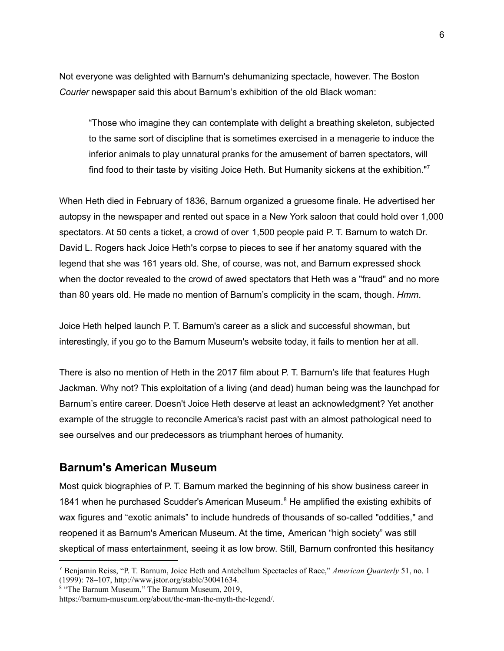Not everyone was delighted with Barnum's dehumanizing spectacle, however. The Boston *Courier* newspaper said this about Barnum's exhibition of the old Black woman:

"Those who imagine they can contemplate with delight a breathing skeleton, subjected to the same sort of discipline that is sometimes exercised in a menagerie to induce the inferior animals to play unnatural pranks for the amusement of barren spectators, will find food to their taste by visiting Joice Heth. But Humanity sickens at the exhibition."<sup>7</sup>

When Heth died in February of 1836, Barnum organized a gruesome finale. He advertised her autopsy in the newspaper and rented out space in a New York saloon that could hold over 1,000 spectators. At 50 cents a ticket, a crowd of over 1,500 people paid P. T. Barnum to watch Dr. David L. Rogers hack Joice Heth's corpse to pieces to see if her anatomy squared with the legend that she was 161 years old. She, of course, was not, and Barnum expressed shock when the doctor revealed to the crowd of awed spectators that Heth was a "fraud" and no more than 80 years old. He made no mention of Barnum's complicity in the scam, though. *Hmm*.

Joice Heth helped launch P. T. Barnum's career as a slick and successful showman, but interestingly, if you go to the Barnum Museum's website today, it fails to mention her at all.

There is also no mention of Heth in the 2017 film about P. T. Barnum's life that features Hugh Jackman. Why not? This exploitation of a living (and dead) human being was the launchpad for Barnum's entire career. Doesn't Joice Heth deserve at least an acknowledgment? Yet another example of the struggle to reconcile America's racist past with an almost pathological need to see ourselves and our predecessors as triumphant heroes of humanity.

#### **Barnum's American Museum**

Most quick biographies of P. T. Barnum marked the beginning of his show business career in 1841 when he purchased Scudder's American Museum. <sup>8</sup> He amplified the existing exhibits of wax figures and "exotic animals" to include hundreds of thousands of so-called "oddities," and reopened it as Barnum's American Museum. At the time, American "high society" was still skeptical of mass entertainment, seeing it as low brow. Still, Barnum confronted this hesitancy

<sup>7</sup> Benjamin Reiss, "P. T. Barnum, Joice Heth and Antebellum Spectacles of Race," *American Quarterly* 51, no. 1 (1999): 78–107, <http://www.jstor.org/stable/30041634>.

<sup>&</sup>lt;sup>8</sup> "The Barnum Museum," The Barnum Museum, 2019,

<https://barnum-museum.org/about/the-man-the-myth-the-legend/>.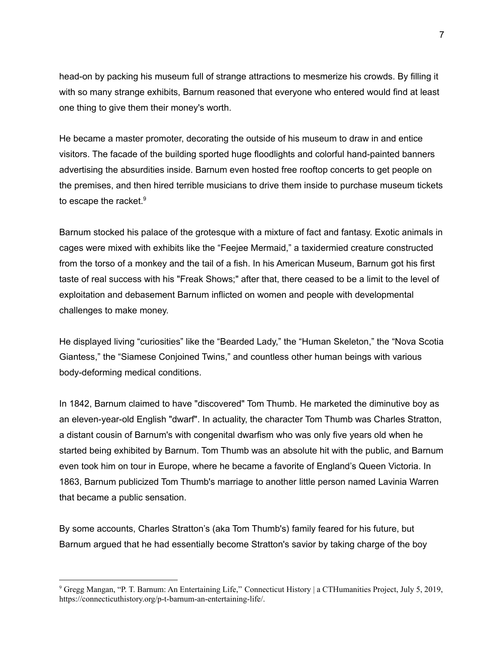head-on by packing his museum full of strange attractions to mesmerize his crowds. By filling it with so many strange exhibits, Barnum reasoned that everyone who entered would find at least one thing to give them their money's worth.

He became a master promoter, decorating the outside of his museum to draw in and entice visitors. The facade of the building sported huge floodlights and colorful hand-painted banners advertising the absurdities inside. Barnum even hosted free rooftop concerts to get people on the premises, and then hired terrible musicians to drive them inside to purchase museum tickets to escape the racket. $9$ 

Barnum stocked his palace of the grotesque with a mixture of fact and fantasy. Exotic animals in cages were mixed with exhibits like the "Feejee Mermaid," a taxidermied creature constructed from the torso of a monkey and the tail of a fish. In his American Museum, Barnum got his first taste of real success with his "Freak Shows;" after that, there ceased to be a limit to the level of exploitation and debasement Barnum inflicted on women and people with developmental challenges to make money.

He displayed living "curiosities" like the "Bearded Lady," the "Human Skeleton," the "Nova Scotia Giantess," the "Siamese Conjoined Twins," and countless other human beings with various body-deforming medical conditions.

In 1842, Barnum claimed to have "discovered" Tom Thumb. He marketed the diminutive boy as an eleven-year-old English "dwarf". In actuality, the character Tom Thumb was Charles Stratton, a distant cousin of Barnum's with congenital dwarfism who was only five years old when he started being exhibited by Barnum. Tom Thumb was an absolute hit with the public, and Barnum even took him on tour in Europe, where he became a favorite of England's Queen Victoria. In 1863, Barnum publicized Tom Thumb's marriage to another little person named Lavinia Warren that became a public sensation.

By some accounts, Charles Stratton's (aka Tom Thumb's) family feared for his future, but Barnum argued that he had essentially become Stratton's savior by taking charge of the boy

<sup>9</sup> Gregg Mangan, "P. T. Barnum: An Entertaining Life," Connecticut History | a CTHumanities Project, July 5, 2019, [https://connecticuthistory.org/p-t-barnum-an-entertaining-life/.](https://connecticuthistory.org/p-t-barnum-an-entertaining-life/)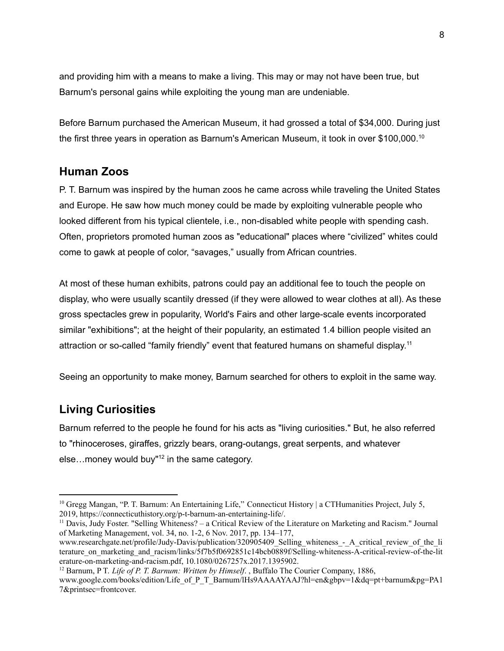and providing him with a means to make a living. This may or may not have been true, but Barnum's personal gains while exploiting the young man are undeniable.

Before Barnum purchased the American Museum, it had grossed a total of \$34,000. During just the first three years in operation as Barnum's American Museum, it took in over \$100,000.<sup>10</sup>

## **Human Zoos**

P. T. Barnum was inspired by the human zoos he came across while traveling the United States and Europe. He saw how much money could be made by exploiting vulnerable people who looked different from his typical clientele, i.e., non-disabled white people with spending cash. Often, proprietors promoted human zoos as "educational" places where "civilized" whites could come to gawk at people of color, "savages," usually from African countries.

At most of these human exhibits, patrons could pay an additional fee to touch the people on display, who were usually scantily dressed (if they were allowed to wear clothes at all). As these gross spectacles grew in popularity, World's Fairs and other large-scale events incorporated similar "exhibitions"; at the height of their popularity, an estimated 1.4 billion people visited an attraction or so-called "family friendly" event that featured humans on shameful display.<sup>11</sup>

Seeing an opportunity to make money, Barnum searched for others to exploit in the same way.

# **Living Curiosities**

Barnum referred to the people he found for his acts as "living curiosities." But, he also referred to "rhinoceroses, giraffes, grizzly bears, orang-outangs, great serpents, and whatever else...money would buy"<sup>12</sup> in the same category.

<sup>12</sup> Barnum, P T. *Life of P. T. Barnum: Written by Himself*. , Buffalo The Courier Company, 1886,

<sup>&</sup>lt;sup>10</sup> Gregg Mangan, "P. T. Barnum: An Entertaining Life," Connecticut History | a CTHumanities Project, July 5, 2019, [https://connecticuthistory.org/p-t-barnum-an-entertaining-life/.](https://connecticuthistory.org/p-t-barnum-an-entertaining-life/)

<sup>11</sup> Davis, Judy Foster. "Selling Whiteness? – a Critical Review of the Literature on Marketing and Racism." Journal of Marketing Management, vol. 34, no. 1-2, 6 Nov. 2017, pp. 134–177,

www.researchgate.net/profile/Judy-Davis/publication/320905409\_Selling\_whiteness\_-\_A\_critical\_review\_of\_the\_li\_ terature\_on\_marketing\_and\_racism/links/5f7b5f0692851c14bcb0889f/Selling-whiteness-A-critical-review-of-the-lit erature-on-marketing-and-racism.pdf, 10.1080/0267257x.2017.1395902.

www.google.com/books/edition/Life\_of\_P\_T\_Barnum/lHs9AAAAYAAJ?hl=en&gbpv=1&dq=pt+barnum&pg=PA1 7&printsec=frontcover.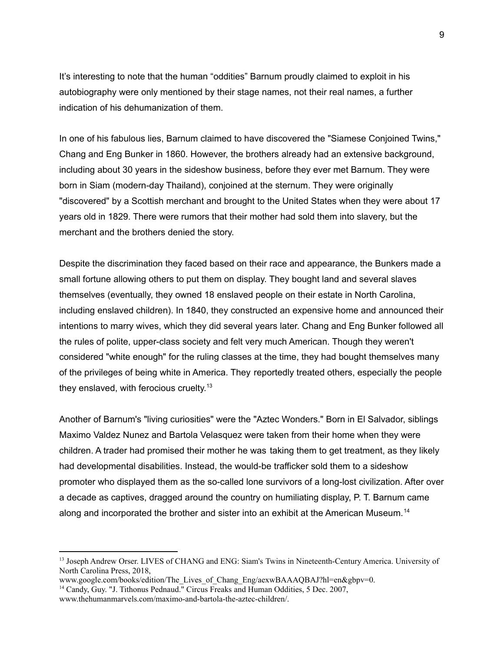It's interesting to note that the human "oddities" Barnum proudly claimed to exploit in his autobiography were only mentioned by their stage names, not their real names, a further indication of his dehumanization of them.

In one of his fabulous lies, Barnum claimed to have discovered the "Siamese Conjoined Twins," Chang and Eng Bunker in 1860. However, the brothers already had an extensive background, including about 30 years in the sideshow business, before they ever met Barnum. They were born in Siam (modern-day Thailand), conjoined at the sternum. They were originally "discovered" by a Scottish merchant and brought to the United States when they were about 17 years old in 1829. There were rumors that their mother had sold them into slavery, but the merchant and the brothers denied the story.

Despite the discrimination they faced based on their race and appearance, the Bunkers made a small fortune allowing others to put them on display. They bought land and several slaves themselves (eventually, they owned 18 enslaved people on their estate in North Carolina, including enslaved children). In 1840, they constructed an expensive home and announced their intentions to marry wives, which they did several years later. Chang and Eng Bunker followed all the rules of polite, upper-class society and felt very much American. Though they weren't considered "white enough" for the ruling classes at the time, they had bought themselves many of the privileges of being white in America. They reportedly treated others, especially the people they enslaved, with ferocious cruelty.<sup>13</sup>

Another of Barnum's "living curiosities" were the "Aztec Wonders." Born in El Salvador, siblings Maximo Valdez Nunez and Bartola Velasquez were taken from their home when they were children. A trader had promised their mother he was taking them to get treatment, as they likely had developmental disabilities. Instead, the would-be trafficker sold them to a sideshow promoter who displayed them as the so-called lone survivors of a long-lost civilization. After over a decade as captives, dragged around the country on humiliating display, P. T. Barnum came along and incorporated the brother and sister into an exhibit at the American Museum.<sup>14</sup>

9

<sup>&</sup>lt;sup>13</sup> Joseph Andrew Orser. LIVES of CHANG and ENG: Siam's Twins in Nineteenth-Century America. University of North Carolina Press, 2018,

www.google.com/books/edition/The Lives of Chang Eng/aexwBAAAOBAJ?hl=en&gbpv=0.

<sup>&</sup>lt;sup>14</sup> Candy, Guy. "J. Tithonus Pednaud." Circus Freaks and Human Oddities, 5 Dec. 2007, [www.thehumanmarvels.com/maximo-and-bartola-the-aztec-children/.](http://www.thehumanmarvels.com/maximo-and-bartola-the-aztec-children/)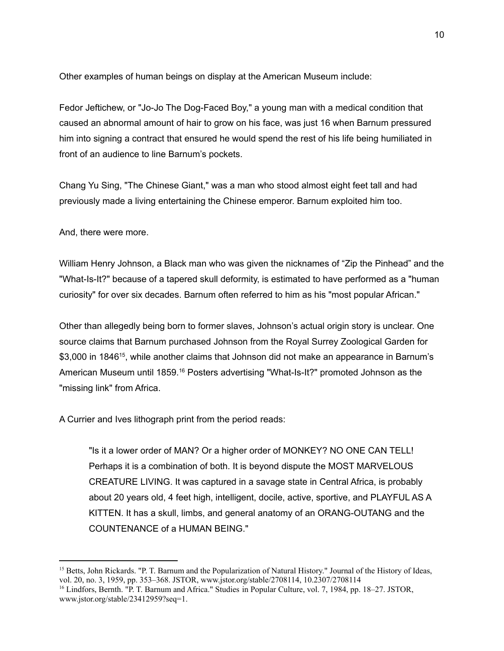Other examples of human beings on display at the American Museum include:

Fedor Jeftichew, or "Jo-Jo The Dog-Faced Boy," a young man with a medical condition that caused an abnormal amount of hair to grow on his face, was just 16 when Barnum pressured him into signing a contract that ensured he would spend the rest of his life being humiliated in front of an audience to line Barnum's pockets.

Chang Yu Sing, "The Chinese Giant," was a man who stood almost eight feet tall and had previously made a living entertaining the Chinese emperor. Barnum exploited him too.

And, there were more.

William Henry Johnson, a Black man who was given the nicknames of "Zip the Pinhead" and the "What-Is-It?" because of a tapered skull deformity, is estimated to have performed as a "human curiosity" for over six decades. Barnum often referred to him as his "most popular African."

Other than allegedly being born to former slaves, Johnson's actual origin story is unclear. One source claims that Barnum purchased Johnson from the Royal Surrey Zoological Garden for \$3,000 in 1846<sup>15</sup>, while another claims that Johnson did not make an appearance in Barnum's American Museum until 1859.<sup>16</sup> Posters advertising "What-Is-It?" promoted Johnson as the "missing link" from Africa.

A Currier and Ives lithograph print from the period reads:

"Is it a lower order of MAN? Or a higher order of MONKEY? NO ONE CAN TELL! Perhaps it is a combination of both. It is beyond dispute the MOST MARVELOUS CREATURE LIVING. It was captured in a savage state in Central Africa, is probably about 20 years old, 4 feet high, intelligent, docile, active, sportive, and PLAYFUL AS A KITTEN. It has a skull, limbs, and general anatomy of an ORANG-OUTANG and the COUNTENANCE of a HUMAN BEING."

<sup>&</sup>lt;sup>15</sup> Betts, John Rickards. "P. T. Barnum and the Popularization of Natural History." Journal of the History of Ideas, vol. 20, no. 3, 1959, pp. 353–368. JSTOR, www.jstor.org/stable/2708114, 10.2307/2708114

<sup>16</sup> Lindfors, Bernth. "P. T. Barnum and Africa." Studies in Popular Culture, vol. 7, 1984, pp. 18–27. JSTOR, [www.jstor.org/stable/23412959?seq=1.](http://www.jstor.org/stable/23412959?seq=1)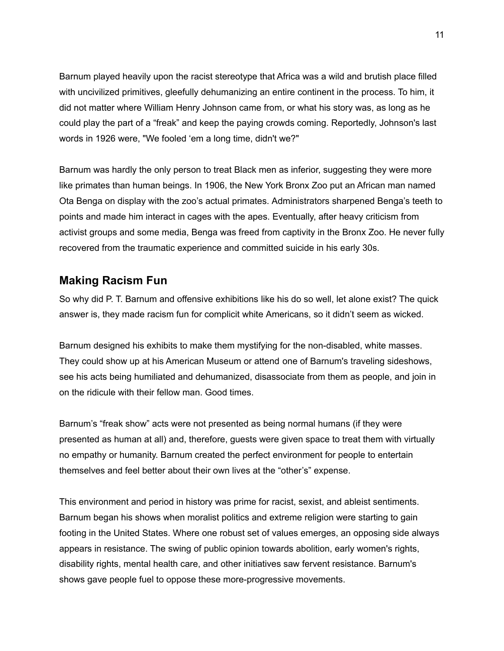Barnum played heavily upon the racist stereotype that Africa was a wild and brutish place filled with uncivilized primitives, gleefully dehumanizing an entire continent in the process. To him, it did not matter where William Henry Johnson came from, or what his story was, as long as he could play the part of a "freak" and keep the paying crowds coming. Reportedly, Johnson's last words in 1926 were, "We fooled 'em a long time, didn't we?"

Barnum was hardly the only person to treat Black men as inferior, suggesting they were more like primates than human beings. In 1906, the New York Bronx Zoo put an African man named Ota Benga on display with the zoo's actual primates. Administrators sharpened Benga's teeth to points and made him interact in cages with the apes. Eventually, after heavy criticism from activist groups and some media, Benga was freed from captivity in the Bronx Zoo. He never fully recovered from the traumatic experience and committed suicide in his early 30s.

# **Making Racism Fun**

So why did P. T. Barnum and offensive exhibitions like his do so well, let alone exist? The quick answer is, they made racism fun for complicit white Americans, so it didn't seem as wicked.

Barnum designed his exhibits to make them mystifying for the non-disabled, white masses. They could show up at his American Museum or attend one of Barnum's traveling sideshows, see his acts being humiliated and dehumanized, disassociate from them as people, and join in on the ridicule with their fellow man. Good times.

Barnum's "freak show" acts were not presented as being normal humans (if they were presented as human at all) and, therefore, guests were given space to treat them with virtually no empathy or humanity. Barnum created the perfect environment for people to entertain themselves and feel better about their own lives at the "other's" expense.

This environment and period in history was prime for racist, sexist, and ableist sentiments. Barnum began his shows when moralist politics and extreme religion were starting to gain footing in the United States. Where one robust set of values emerges, an opposing side always appears in resistance. The swing of public opinion towards abolition, early women's rights, disability rights, mental health care, and other initiatives saw fervent resistance. Barnum's shows gave people fuel to oppose these more-progressive movements.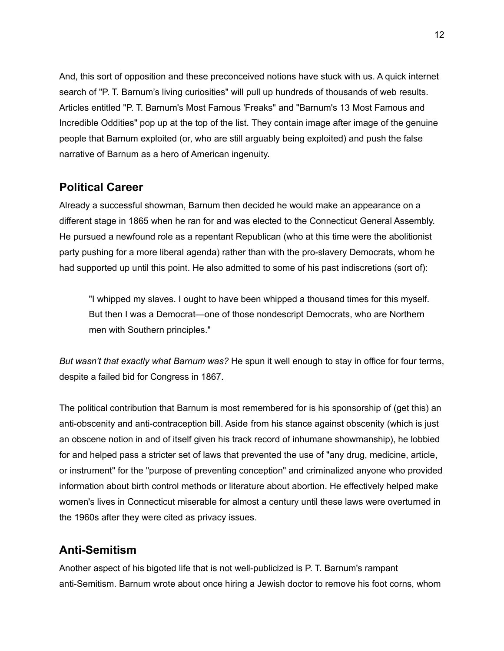And, this sort of opposition and these preconceived notions have stuck with us. A quick internet search of "P. T. Barnum's living curiosities" will pull up hundreds of thousands of web results. Articles entitled "P. T. Barnum's Most Famous 'Freaks" and "Barnum's 13 Most Famous and Incredible Oddities" pop up at the top of the list. They contain image after image of the genuine people that Barnum exploited (or, who are still arguably being exploited) and push the false narrative of Barnum as a hero of American ingenuity.

## **Political Career**

Already a successful showman, Barnum then decided he would make an appearance on a different stage in 1865 when he ran for and was elected to the Connecticut General Assembly. He pursued a newfound role as a repentant Republican (who at this time were the abolitionist party pushing for a more liberal agenda) rather than with the pro-slavery Democrats, whom he had supported up until this point. He also admitted to some of his past indiscretions (sort of):

"I whipped my slaves. I ought to have been whipped a thousand times for this myself. But then I was a Democrat—one of those nondescript Democrats, who are Northern men with Southern principles."

*But wasn't that exactly what Barnum was?* He spun it well enough to stay in office for four terms, despite a failed bid for Congress in 1867.

The political contribution that Barnum is most remembered for is his sponsorship of (get this) an anti-obscenity and anti-contraception bill. Aside from his stance against obscenity (which is just an obscene notion in and of itself given his track record of inhumane showmanship), he lobbied for and helped pass a stricter set of laws that prevented the use of "any drug, medicine, article, or instrument" for the "purpose of preventing conception" and criminalized anyone who provided information about birth control methods or literature about abortion. He effectively helped make women's lives in Connecticut miserable for almost a century until these laws were overturned in the 1960s after they were cited as privacy issues.

# **Anti-Semitism**

Another aspect of his bigoted life that is not well-publicized is P. T. Barnum's rampant anti-Semitism. Barnum wrote about once hiring a Jewish doctor to remove his foot corns, whom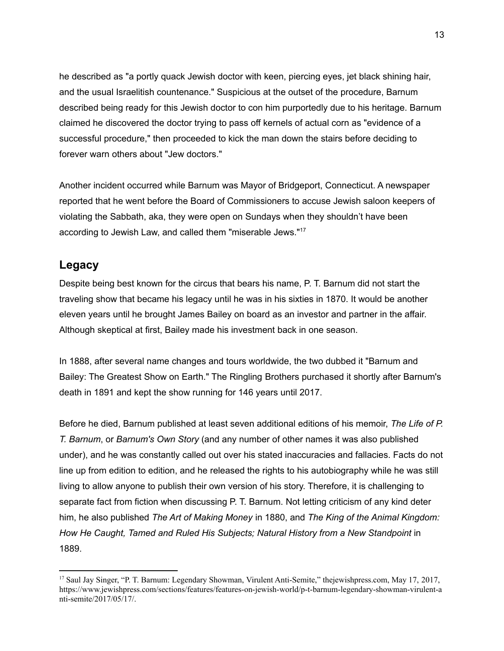he described as "a portly quack Jewish doctor with keen, piercing eyes, jet black shining hair, and the usual Israelitish countenance." Suspicious at the outset of the procedure, Barnum described being ready for this Jewish doctor to con him purportedly due to his heritage. Barnum claimed he discovered the doctor trying to pass off kernels of actual corn as "evidence of a successful procedure," then proceeded to kick the man down the stairs before deciding to forever warn others about "Jew doctors."

Another incident occurred while Barnum was Mayor of Bridgeport, Connecticut. A newspaper reported that he went before the Board of Commissioners to accuse Jewish saloon keepers of violating the Sabbath, aka, they were open on Sundays when they shouldn't have been according to Jewish Law, and called them "miserable Jews."<sup>17</sup>

#### **Legacy**

Despite being best known for the circus that bears his name, P. T. Barnum did not start the traveling show that became his legacy until he was in his sixties in 1870. It would be another eleven years until he brought James Bailey on board as an investor and partner in the affair. Although skeptical at first, Bailey made his investment back in one season.

In 1888, after several name changes and tours worldwide, the two dubbed it "Barnum and Bailey: The Greatest Show on Earth." The Ringling Brothers purchased it shortly after Barnum's death in 1891 and kept the show running for 146 years until 2017.

Before he died, Barnum published at least seven additional editions of his memoir, *The Life of P. T. Barnum*, or *Barnum's Own Story* (and any number of other names it was also published under), and he was constantly called out over his stated inaccuracies and fallacies. Facts do not line up from edition to edition, and he released the rights to his autobiography while he was still living to allow anyone to publish their own version of his story. Therefore, it is challenging to separate fact from fiction when discussing P. T. Barnum. Not letting criticism of any kind deter him, he also published *The Art of Making Money* in 1880, and *The King of the Animal Kingdom: How He Caught, Tamed and Ruled His Subjects; Natural History from a New Standpoint* in 1889.

<sup>17</sup> Saul Jay Singer, "P. T. Barnum: Legendary Showman, Virulent Anti-Semite," thejewishpress.com, May 17, 2017, [https://www.jewishpress.com/sections/features/features-on-jewish-world/p-t-barnum-legendary-showman-virulent-a](https://www.jewishpress.com/sections/features/features-on-jewish-world/p-t-barnum-legendary-showman-virulent-anti-semite/2017/05/17/) [nti-semite/2017/05/17/](https://www.jewishpress.com/sections/features/features-on-jewish-world/p-t-barnum-legendary-showman-virulent-anti-semite/2017/05/17/).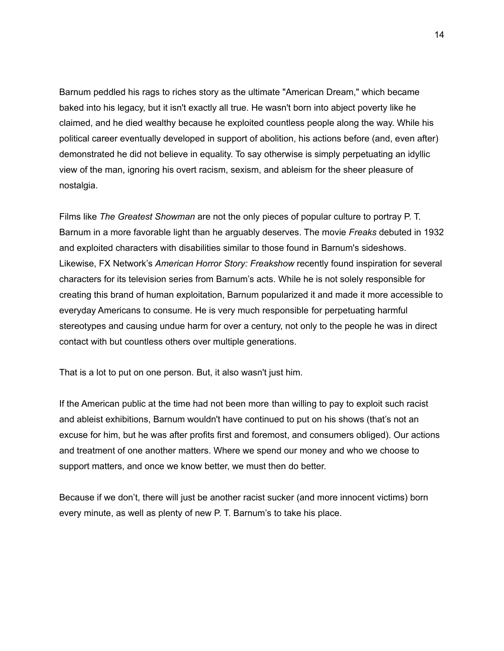Barnum peddled his rags to riches story as the ultimate "American Dream," which became baked into his legacy, but it isn't exactly all true. He wasn't born into abject poverty like he claimed, and he died wealthy because he exploited countless people along the way. While his political career eventually developed in support of abolition, his actions before (and, even after) demonstrated he did not believe in equality. To say otherwise is simply perpetuating an idyllic view of the man, ignoring his overt racism, sexism, and ableism for the sheer pleasure of nostalgia.

Films like *The Greatest Showman* are not the only pieces of popular culture to portray P. T. Barnum in a more favorable light than he arguably deserves. The movie *Freaks* debuted in 1932 and exploited characters with disabilities similar to those found in Barnum's sideshows. Likewise, FX Network's *American Horror Story: Freakshow* recently found inspiration for several characters for its television series from Barnum's acts. While he is not solely responsible for creating this brand of human exploitation, Barnum popularized it and made it more accessible to everyday Americans to consume. He is very much responsible for perpetuating harmful stereotypes and causing undue harm for over a century, not only to the people he was in direct contact with but countless others over multiple generations.

That is a lot to put on one person. But, it also wasn't just him.

If the American public at the time had not been more than willing to pay to exploit such racist and ableist exhibitions, Barnum wouldn't have continued to put on his shows (that's not an excuse for him, but he was after profits first and foremost, and consumers obliged). Our actions and treatment of one another matters. Where we spend our money and who we choose to support matters, and once we know better, we must then do better.

Because if we don't, there will just be another racist sucker (and more innocent victims) born every minute, as well as plenty of new P. T. Barnum's to take his place.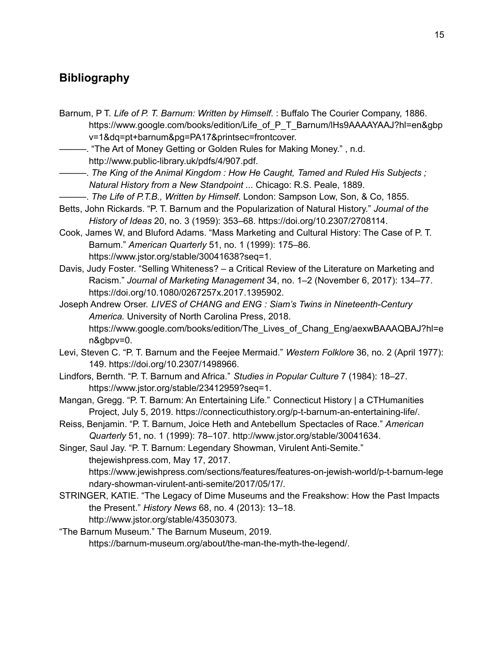# **Bibliography**

- Barnum, P T. *Life of P. T. Barnum: Written by Himself*. : Buffalo The Courier Company, 1886. https://www.google.com/books/edition/Life\_of\_P\_T\_Barnum/lHs9AAAAYAAJ?hl=en&gbp v=1&dq=pt+barnum&pg=PA17&printsec=frontcover.
- ———. "The Art of Money Getting or Golden Rules for Making Money." , n.d. http://www.public-library.uk/pdfs/4/907.pdf.
- ———. *The King of the Animal Kingdom : How He Caught, Tamed and Ruled His Subjects ; Natural History from a New Standpoint ...* Chicago: R.S. Peale, 1889.
- ———. *The Life of P.T.B., Written by Himself*. London: Sampson Low, Son, & Co, 1855.
- Betts, John Rickards. "P. T. Barnum and the Popularization of Natural History." *Journal of the History of Ideas* 20, no. 3 (1959): 353–68. https://doi.org/10.2307/2708114.
- Cook, James W, and Bluford Adams. "Mass Marketing and Cultural History: The Case of P. T. Barnum." *American Quarterly* 51, no. 1 (1999): 175–86. https://www.jstor.org/stable/30041638?seq=1.
- Davis, Judy Foster. "Selling Whiteness? a Critical Review of the Literature on Marketing and Racism." *Journal of Marketing Management* 34, no. 1–2 (November 6, 2017): 134–77. https://doi.org/10.1080/0267257x.2017.1395902.
- Joseph Andrew Orser. *LIVES of CHANG and ENG : Siam's Twins in Nineteenth-Century America.* University of North Carolina Press, 2018. https://www.google.com/books/edition/The\_Lives\_of\_Chang\_Eng/aexwBAAAQBAJ?hl=e n&gbpv=0.
- Levi, Steven C. "P. T. Barnum and the Feejee Mermaid." *Western Folklore* 36, no. 2 (April 1977): 149. https://doi.org/10.2307/1498966.
- Lindfors, Bernth. "P. T. Barnum and Africa." *Studies in Popular Culture* 7 (1984): 18–27. https://www.jstor.org/stable/23412959?seq=1.
- Mangan, Gregg. "P. T. Barnum: An Entertaining Life." Connecticut History | a CTHumanities Project, July 5, 2019. https://connecticuthistory.org/p-t-barnum-an-entertaining-life/.
- Reiss, Benjamin. "P. T. Barnum, Joice Heth and Antebellum Spectacles of Race." *American Quarterly* 51, no. 1 (1999): 78–107. http://www.jstor.org/stable/30041634.

Singer, Saul Jay. "P. T. Barnum: Legendary Showman, Virulent Anti-Semite." thejewishpress.com, May 17, 2017. https://www.jewishpress.com/sections/features/features-on-jewish-world/p-t-barnum-lege ndary-showman-virulent-anti-semite/2017/05/17/.

- STRINGER, KATIE. "The Legacy of Dime Museums and the Freakshow: How the Past Impacts the Present." *History News* 68, no. 4 (2013): 13–18. http://www.jstor.org/stable/43503073.
- "The Barnum Museum." The Barnum Museum, 2019. https://barnum-museum.org/about/the-man-the-myth-the-legend/.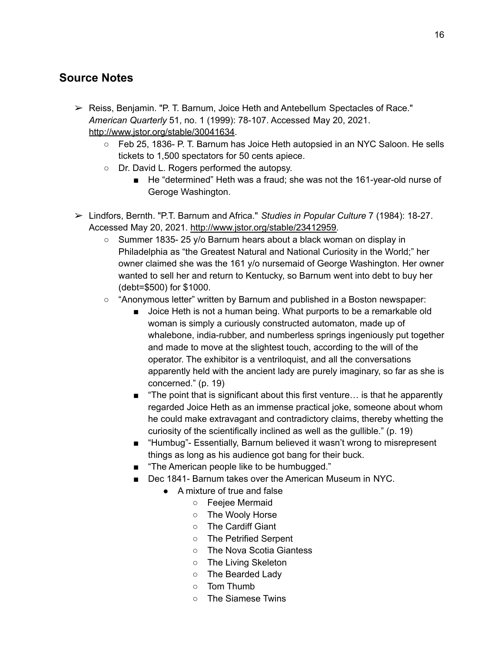# **Source Notes**

- ➢ Reiss, Benjamin. "P. T. Barnum, Joice Heth and Antebellum Spectacles of Race." *American Quarterly* 51, no. 1 (1999): 78-107. Accessed May 20, 2021. <http://www.jstor.org/stable/30041634>.
	- Feb 25, 1836- P. T. Barnum has Joice Heth autopsied in an NYC Saloon. He sells tickets to 1,500 spectators for 50 cents apiece.
	- Dr. David L. Rogers performed the autopsy.
		- He "determined" Heth was a fraud; she was not the 161-year-old nurse of Geroge Washington.
- ➢ Lindfors, Bernth. "P.T. Barnum and Africa." *Studies in Popular Culture* 7 (1984): 18-27. Accessed May 20, 2021. [http://www.jstor.org/stable/23412959.](http://www.jstor.org/stable/23412959)
	- Summer 1835- 25 y/o Barnum hears about a black woman on display in Philadelphia as "the Greatest Natural and National Curiosity in the World;" her owner claimed she was the 161 y/o nursemaid of George Washington. Her owner wanted to sell her and return to Kentucky, so Barnum went into debt to buy her (debt=\$500) for \$1000.
	- "Anonymous letter" written by Barnum and published in a Boston newspaper:
		- Joice Heth is not a human being. What purports to be a remarkable old woman is simply a curiously constructed automaton, made up of whalebone, india-rubber, and numberless springs ingeniously put together and made to move at the slightest touch, according to the will of the operator. The exhibitor is a ventriloquist, and all the conversations apparently held with the ancient lady are purely imaginary, so far as she is concerned." (p. 19)
		- "The point that is significant about this first venture... is that he apparently regarded Joice Heth as an immense practical joke, someone about whom he could make extravagant and contradictory claims, thereby whetting the curiosity of the scientifically inclined as well as the gullible." (p. 19)
		- "Humbug"- Essentially, Barnum believed it wasn't wrong to misrepresent things as long as his audience got bang for their buck.
		- "The American people like to be humbugged."
		- Dec 1841- Barnum takes over the American Museum in NYC.
			- A mixture of true and false
				- Feejee Mermaid
				- The Wooly Horse
				- The Cardiff Giant
				- The Petrified Serpent
				- The Nova Scotia Giantess
				- The Living Skeleton
				- The Bearded Lady
				- Tom Thumb
				- The Siamese Twins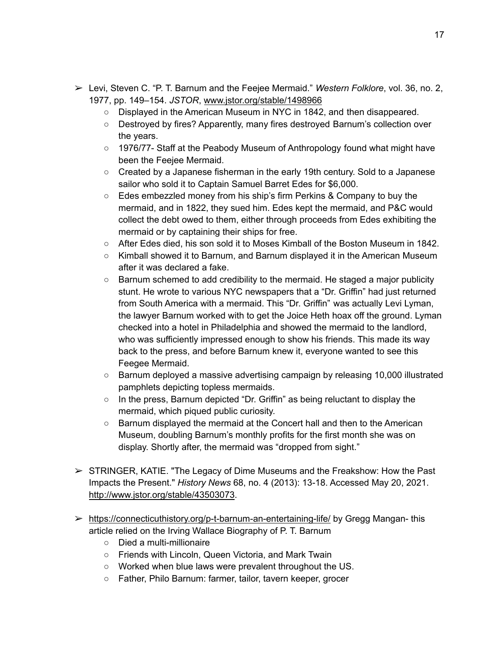- ➢ Levi, Steven C. "P. T. Barnum and the Feejee Mermaid." *Western Folklore*, vol. 36, no. 2, 1977, pp. 149–154. *JSTOR*, [www.jstor.org/stable/1498966](http://www.jstor.org/stable/1498966)
	- Displayed in the American Museum in NYC in 1842, and then disappeared.
	- Destroyed by fires? Apparently, many fires destroyed Barnum's collection over the years.
	- $\circ$  1976/77- Staff at the Peabody Museum of Anthropology found what might have been the Feejee Mermaid.
	- Created by a Japanese fisherman in the early 19th century. Sold to a Japanese sailor who sold it to Captain Samuel Barret Edes for \$6,000.
	- Edes embezzled money from his ship's firm Perkins & Company to buy the mermaid, and in 1822, they sued him. Edes kept the mermaid, and P&C would collect the debt owed to them, either through proceeds from Edes exhibiting the mermaid or by captaining their ships for free.
	- After Edes died, his son sold it to Moses Kimball of the Boston Museum in 1842.
	- Kimball showed it to Barnum, and Barnum displayed it in the American Museum after it was declared a fake.
	- $\circ$  Barnum schemed to add credibility to the mermaid. He staged a major publicity stunt. He wrote to various NYC newspapers that a "Dr. Griffin" had just returned from South America with a mermaid. This "Dr. Griffin" was actually Levi Lyman, the lawyer Barnum worked with to get the Joice Heth hoax off the ground. Lyman checked into a hotel in Philadelphia and showed the mermaid to the landlord, who was sufficiently impressed enough to show his friends. This made its way back to the press, and before Barnum knew it, everyone wanted to see this Feegee Mermaid.
	- Barnum deployed a massive advertising campaign by releasing 10,000 illustrated pamphlets depicting topless mermaids.
	- $\circ$  In the press, Barnum depicted "Dr. Griffin" as being reluctant to display the mermaid, which piqued public curiosity.
	- $\circ$  Barnum displayed the mermaid at the Concert hall and then to the American Museum, doubling Barnum's monthly profits for the first month she was on display. Shortly after, the mermaid was "dropped from sight."
- $\triangleright$  STRINGER, KATIE. "The Legacy of Dime Museums and the Freakshow: How the Past Impacts the Present." *History News* 68, no. 4 (2013): 13-18. Accessed May 20, 2021. <http://www.jstor.org/stable/43503073>.
- ➢ <https://connecticuthistory.org/p-t-barnum-an-entertaining-life/> by Gregg Mangan- this article relied on the Irving Wallace Biography of P. T. Barnum
	- Died a multi-millionaire
	- Friends with Lincoln, Queen Victoria, and Mark Twain
	- Worked when blue laws were prevalent throughout the US.
	- Father, Philo Barnum: farmer, tailor, tavern keeper, grocer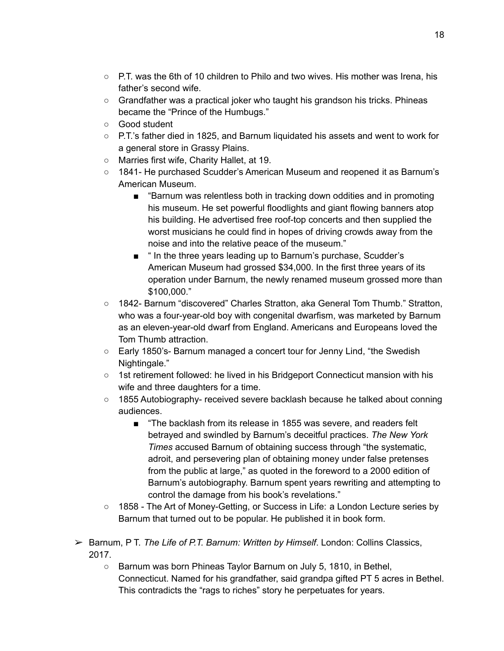- $\circ$  P.T. was the 6th of 10 children to Philo and two wives. His mother was Irena, his father's second wife.
- Grandfather was a practical joker who taught his grandson his tricks. Phineas became the "Prince of the Humbugs."
- Good student
- P.T.'s father died in 1825, and Barnum liquidated his assets and went to work for a general store in Grassy Plains.
- Marries first wife, Charity Hallet, at 19.
- 1841- He purchased Scudder's American Museum and reopened it as Barnum's American Museum.
	- "Barnum was relentless both in tracking down oddities and in promoting his museum. He set powerful floodlights and giant flowing banners atop his building. He advertised free roof-top concerts and then supplied the worst musicians he could find in hopes of driving crowds away from the noise and into the relative peace of the museum."
	- " In the three years leading up to Barnum's purchase, Scudder's American Museum had grossed \$34,000. In the first three years of its operation under Barnum, the newly renamed museum grossed more than \$100,000."
- 1842- Barnum "discovered" Charles Stratton, aka General Tom Thumb." Stratton, who was a four-year-old boy with congenital dwarfism, was marketed by Barnum as an eleven-year-old dwarf from England. Americans and Europeans loved the Tom Thumb attraction.
- Early 1850's- Barnum managed a concert tour for Jenny Lind, "the Swedish Nightingale."
- 1st retirement followed: he lived in his Bridgeport Connecticut mansion with his wife and three daughters for a time.
- 1855 Autobiography- received severe backlash because he talked about conning audiences.
	- "The backlash from its release in 1855 was severe, and readers felt betrayed and swindled by Barnum's deceitful practices. *The New York Times* accused Barnum of obtaining success through "the systematic, adroit, and persevering plan of obtaining money under false pretenses from the public at large," as quoted in the foreword to a 2000 edition of Barnum's autobiography. Barnum spent years rewriting and attempting to control the damage from his book's revelations."
- 1858 The Art of Money-Getting, or Success in Life: a London Lecture series by Barnum that turned out to be popular. He published it in book form.
- ➢ Barnum, P T. *The Life of P.T. Barnum: Written by Himself*. London: Collins Classics, 2017.
	- $\circ$  Barnum was born Phineas Taylor Barnum on July 5, 1810, in Bethel, Connecticut. Named for his grandfather, said grandpa gifted PT 5 acres in Bethel. This contradicts the "rags to riches" story he perpetuates for years.